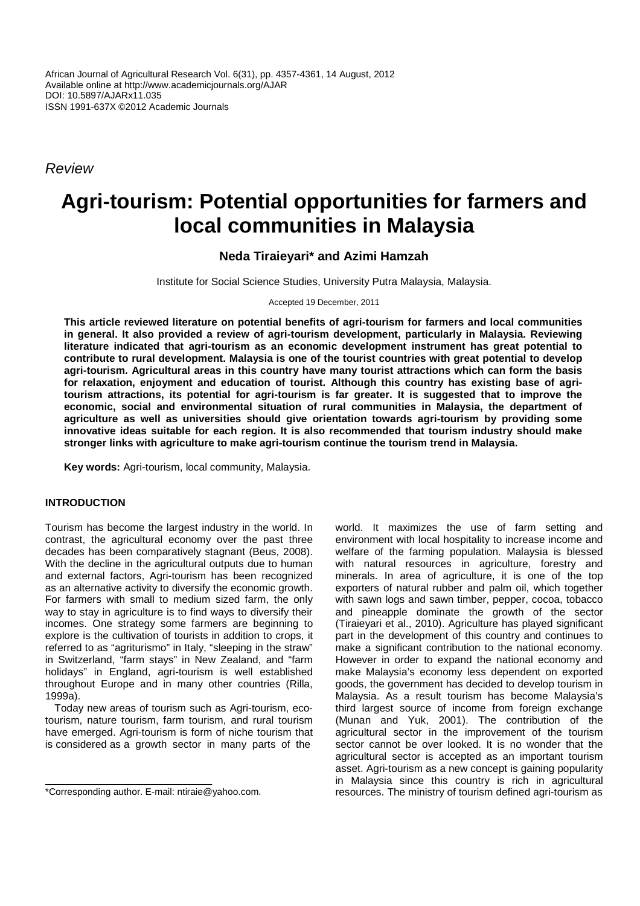African Journal of Agricultural Research Vol. 6(31), pp. 4357-4361, 14 August, 2012 Available online at http://www.academicjournals.org/AJAR DOI: 10.5897/AJARx11.035 ISSN 1991-637X ©2012 Academic Journals

Review

# **Agri-tourism: Potential opportunities for farmers and local communities in Malaysia**

**Neda Tiraieyari\* and Azimi Hamzah** 

Institute for Social Science Studies, University Putra Malaysia, Malaysia.

Accepted 19 December, 2011

**This article reviewed literature on potential benefits of agri-tourism for farmers and local communities in general. It also provided a review of agri-tourism development, particularly in Malaysia. Reviewing literature indicated that agri-tourism as an economic development instrument has great potential to contribute to rural development. Malaysia is one of the tourist countries with great potential to develop agri-tourism. Agricultural areas in this country have many tourist attractions which can form the basis for relaxation, enjoyment and education of tourist. Although this country has existing base of agritourism attractions, its potential for agri-tourism is far greater. It is suggested that to improve the economic, social and environmental situation of rural communities in Malaysia, the department of agriculture as well as universities should give orientation towards agri-tourism by providing some innovative ideas suitable for each region. It is also recommended that tourism industry should make stronger links with agriculture to make agri-tourism continue the tourism trend in Malaysia.** 

**Key words:** Agri-tourism, local community, Malaysia.

# **INTRODUCTION**

Tourism has become the largest industry in the world. In contrast, the agricultural economy over the past three decades has been comparatively stagnant (Beus, 2008). With the decline in the agricultural outputs due to human and external factors, Agri-tourism has been recognized as an alternative activity to diversify the economic growth. For farmers with small to medium sized farm, the only way to stay in agriculture is to find ways to diversify their incomes. One strategy some farmers are beginning to explore is the cultivation of tourists in addition to crops, it referred to as "agriturismo" in Italy, "sleeping in the straw" in Switzerland, "farm stays" in New Zealand, and "farm holidays" in England, agri-tourism is well established throughout Europe and in many other countries (Rilla, 1999a).

Today new areas of tourism such as Agri-tourism, ecotourism, nature tourism, farm tourism, and rural tourism have emerged. Agri-tourism is form of niche tourism that is considered as a growth sector in many parts of the

world. It maximizes the use of farm setting and environment with local hospitality to increase income and welfare of the farming population. Malaysia is blessed with natural resources in agriculture, forestry and minerals. In area of agriculture, it is one of the top exporters of natural rubber and palm oil, which together with sawn logs and sawn timber, pepper, cocoa, tobacco and pineapple dominate the growth of the sector (Tiraieyari et al., 2010). Agriculture has played significant part in the development of this country and continues to make a significant contribution to the national economy. However in order to expand the national economy and make Malaysia's economy less dependent on exported goods, the government has decided to develop tourism in Malaysia. As a result tourism has become Malaysia's third largest source of income from foreign exchange (Munan and Yuk, 2001). The contribution of the agricultural sector in the improvement of the tourism sector cannot be over looked. It is no wonder that the agricultural sector is accepted as an important tourism asset. Agri-tourism as a new concept is gaining popularity in Malaysia since this country is rich in agricultural resources. The ministry of tourism defined agri-tourism as

<sup>\*</sup>Corresponding author. E-mail: ntiraie@yahoo.com.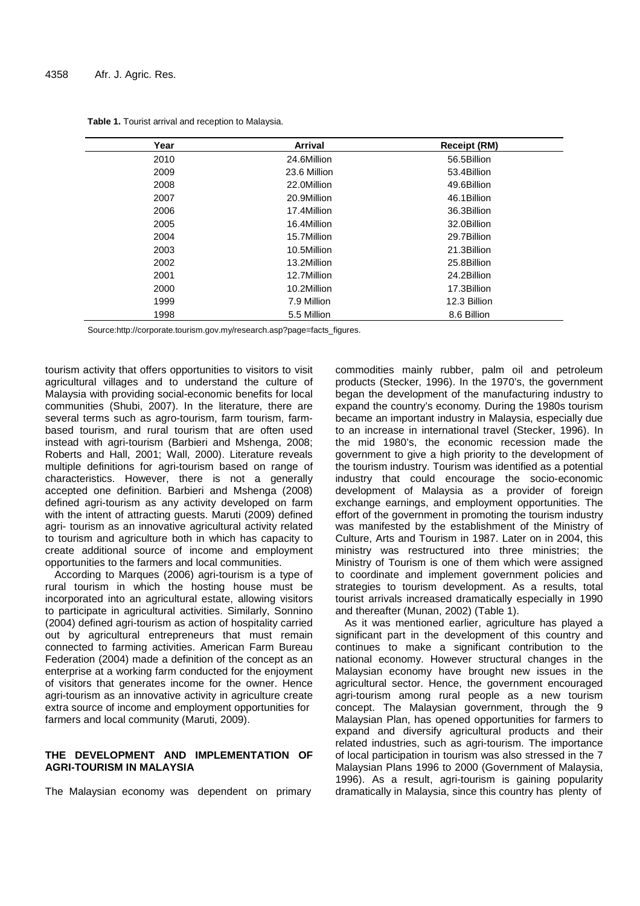| Year | Arrival      | <b>Receipt (RM)</b> |
|------|--------------|---------------------|
| 2010 | 24.6Million  | 56.5Billion         |
| 2009 | 23.6 Million | 53.4Billion         |
| 2008 | 22.0Million  | 49.6Billion         |
| 2007 | 20.9Million  | 46.1Billion         |
| 2006 | 17.4Million  | 36.3Billion         |
| 2005 | 16.4Million  | 32.0Billion         |
| 2004 | 15.7Million  | 29.7Billion         |
| 2003 | 10.5Million  | 21.3Billion         |
| 2002 | 13.2Million  | 25.8Billion         |
| 2001 | 12.7Million  | 24.2Billion         |
| 2000 | 10.2Million  | 17.3Billion         |
| 1999 | 7.9 Million  | 12.3 Billion        |
| 1998 | 5.5 Million  | 8.6 Billion         |

**Table 1.** Tourist arrival and reception to Malaysia.

Source:http://corporate.tourism.gov.my/research.asp?page=facts\_figures.

tourism activity that offers opportunities to visitors to visit agricultural villages and to understand the culture of Malaysia with providing social-economic benefits for local communities (Shubi, 2007). In the literature, there are several terms such as agro-tourism, farm tourism, farmbased tourism, and rural tourism that are often used instead with agri-tourism (Barbieri and Mshenga, 2008; Roberts and Hall, 2001; Wall, 2000). Literature reveals multiple definitions for agri-tourism based on range of characteristics. However, there is not a generally accepted one definition. Barbieri and Mshenga (2008) defined agri-tourism as any activity developed on farm with the intent of attracting guests. Maruti (2009) defined agri- tourism as an innovative agricultural activity related to tourism and agriculture both in which has capacity to create additional source of income and employment opportunities to the farmers and local communities.

According to Marques (2006) agri-tourism is a type of rural tourism in which the hosting house must be incorporated into an agricultural estate, allowing visitors to participate in agricultural activities. Similarly, Sonnino (2004) defined agri-tourism as action of hospitality carried out by agricultural entrepreneurs that must remain connected to farming activities. American Farm Bureau Federation (2004) made a definition of the concept as an enterprise at a working farm conducted for the enjoyment of visitors that generates income for the owner. Hence agri-tourism as an innovative activity in agriculture create extra source of income and employment opportunities for farmers and local community (Maruti, 2009).

# **THE DEVELOPMENT AND IMPLEMENTATION OF AGRI-TOURISM IN MALAYSIA**

The Malaysian economy was dependent on primary

commodities mainly rubber, palm oil and petroleum products (Stecker, 1996). In the 1970's, the government began the development of the manufacturing industry to expand the country's economy. During the 1980s tourism became an important industry in Malaysia, especially due to an increase in international travel (Stecker, 1996). In the mid 1980's, the economic recession made the government to give a high priority to the development of the tourism industry. Tourism was identified as a potential industry that could encourage the socio-economic development of Malaysia as a provider of foreign exchange earnings, and employment opportunities. The effort of the government in promoting the tourism industry was manifested by the establishment of the Ministry of Culture, Arts and Tourism in 1987. Later on in 2004, this ministry was restructured into three ministries; the Ministry of Tourism is one of them which were assigned to coordinate and implement government policies and strategies to tourism development. As a results, total tourist arrivals increased dramatically especially in 1990 and thereafter (Munan, 2002) (Table 1).

As it was mentioned earlier, agriculture has played a significant part in the development of this country and continues to make a significant contribution to the national economy. However structural changes in the Malaysian economy have brought new issues in the agricultural sector. Hence, the government encouraged agri-tourism among rural people as a new tourism concept. The Malaysian government, through the 9 Malaysian Plan, has opened opportunities for farmers to expand and diversify agricultural products and their related industries, such as agri-tourism. The importance of local participation in tourism was also stressed in the 7 Malaysian Plans 1996 to 2000 (Government of Malaysia, 1996). As a result, agri-tourism is gaining popularity dramatically in Malaysia, since this country has plenty of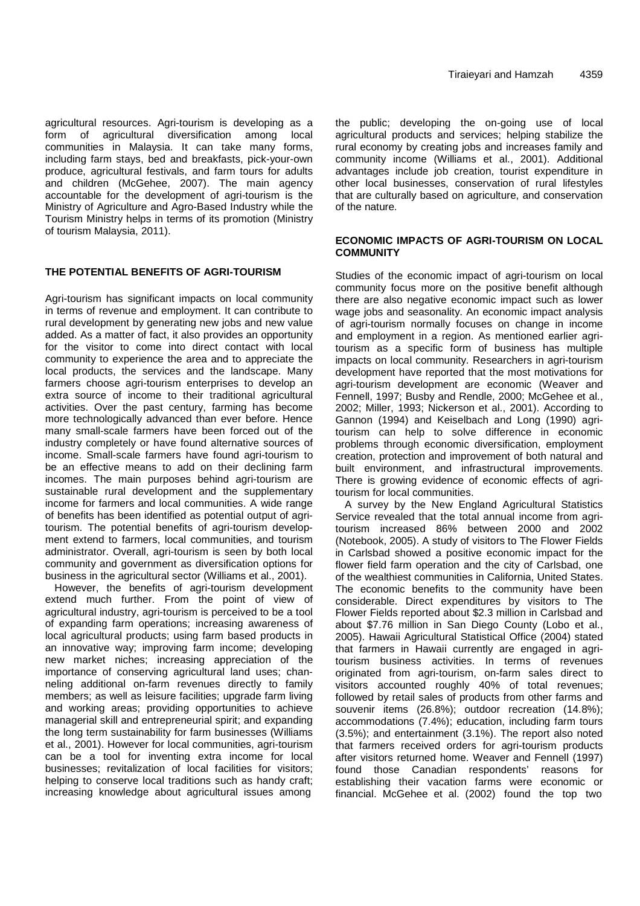agricultural resources. Agri-tourism is developing as a form of agricultural diversification among local communities in Malaysia. It can take many forms, including farm stays, bed and breakfasts, pick-your-own produce, agricultural festivals, and farm tours for adults and children (McGehee, 2007). The main agency accountable for the development of agri-tourism is the Ministry of Agriculture and Agro-Based Industry while the Tourism Ministry helps in terms of its promotion (Ministry of tourism Malaysia, 2011).

#### **THE POTENTIAL BENEFITS OF AGRI-TOURISM**

Agri-tourism has significant impacts on local community in terms of revenue and employment. It can contribute to rural development by generating new jobs and new value added. As a matter of fact, it also provides an opportunity for the visitor to come into direct contact with local community to experience the area and to appreciate the local products, the services and the landscape. Many farmers choose agri-tourism enterprises to develop an extra source of income to their traditional agricultural activities. Over the past century, farming has become more technologically advanced than ever before. Hence many small-scale farmers have been forced out of the industry completely or have found alternative sources of income. Small-scale farmers have found agri-tourism to be an effective means to add on their declining farm incomes. The main purposes behind agri-tourism are sustainable rural development and the supplementary income for farmers and local communities. A wide range of benefits has been identified as potential output of agritourism. The potential benefits of agri-tourism development extend to farmers, local communities, and tourism administrator. Overall, agri-tourism is seen by both local community and government as diversification options for business in the agricultural sector (Williams et al., 2001).

However, the benefits of agri-tourism development extend much further. From the point of view of agricultural industry, agri-tourism is perceived to be a tool of expanding farm operations; increasing awareness of local agricultural products; using farm based products in an innovative way; improving farm income; developing new market niches; increasing appreciation of the importance of conserving agricultural land uses; channeling additional on-farm revenues directly to family members; as well as leisure facilities; upgrade farm living and working areas; providing opportunities to achieve managerial skill and entrepreneurial spirit; and expanding the long term sustainability for farm businesses (Williams et al., 2001). However for local communities, agri-tourism can be a tool for inventing extra income for local businesses; revitalization of local facilities for visitors; helping to conserve local traditions such as handy craft; increasing knowledge about agricultural issues among

the public; developing the on-going use of local agricultural products and services; helping stabilize the rural economy by creating jobs and increases family and community income (Williams et al., 2001). Additional advantages include job creation, tourist expenditure in other local businesses, conservation of rural lifestyles that are culturally based on agriculture, and conservation of the nature.

### **ECONOMIC IMPACTS OF AGRI-TOURISM ON LOCAL COMMUNITY**

Studies of the economic impact of agri-tourism on local community focus more on the positive benefit although there are also negative economic impact such as lower wage jobs and seasonality. An economic impact analysis of agri-tourism normally focuses on change in income and employment in a region. As mentioned earlier agritourism as a specific form of business has multiple impacts on local community. Researchers in agri-tourism development have reported that the most motivations for agri-tourism development are economic (Weaver and Fennell, 1997; Busby and Rendle, 2000; McGehee et al., 2002; Miller, 1993; Nickerson et al., 2001). According to Gannon (1994) and Keiselbach and Long (1990) agritourism can help to solve difference in economic problems through economic diversification, employment creation, protection and improvement of both natural and built environment, and infrastructural improvements. There is growing evidence of economic effects of agritourism for local communities.

A survey by the New England Agricultural Statistics Service revealed that the total annual income from agritourism increased 86% between 2000 and 2002 (Notebook, 2005). A study of visitors to The Flower Fields in Carlsbad showed a positive economic impact for the flower field farm operation and the city of Carlsbad, one of the wealthiest communities in California, United States. The economic benefits to the community have been considerable. Direct expenditures by visitors to The Flower Fields reported about \$2.3 million in Carlsbad and about \$7.76 million in San Diego County (Lobo et al., 2005). Hawaii Agricultural Statistical Office (2004) stated that farmers in Hawaii currently are engaged in agritourism business activities. In terms of revenues originated from agri-tourism, on-farm sales direct to visitors accounted roughly 40% of total revenues; followed by retail sales of products from other farms and souvenir items (26.8%); outdoor recreation (14.8%); accommodations (7.4%); education, including farm tours (3.5%); and entertainment (3.1%). The report also noted that farmers received orders for agri-tourism products after visitors returned home. Weaver and Fennell (1997) found those Canadian respondents' reasons for establishing their vacation farms were economic or financial. McGehee et al. (2002) found the top two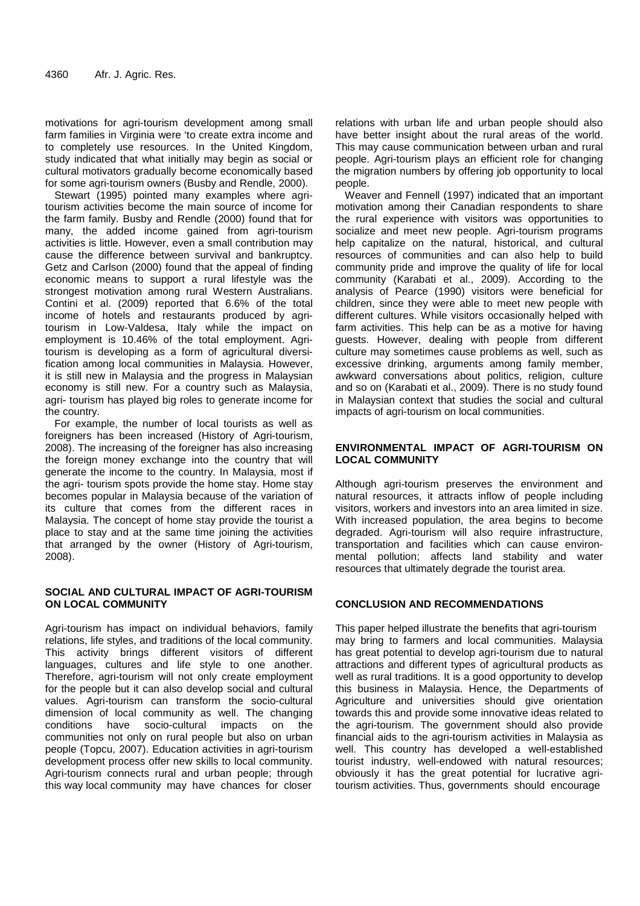motivations for agri-tourism development among small farm families in Virginia were 'to create extra income and to completely use resources. In the United Kingdom, study indicated that what initially may begin as social or cultural motivators gradually become economically based for some agri-tourism owners (Busby and Rendle, 2000).

Stewart (1995) pointed many examples where agritourism activities become the main source of income for the farm family. Busby and Rendle (2000) found that for many, the added income gained from agri-tourism activities is little. However, even a small contribution may cause the difference between survival and bankruptcy. Getz and Carlson (2000) found that the appeal of finding economic means to support a rural lifestyle was the strongest motivation among rural Western Australians. Contini et al. (2009) reported that 6.6% of the total income of hotels and restaurants produced by agritourism in Low-Valdesa, Italy while the impact on employment is 10.46% of the total employment. Agritourism is developing as a form of agricultural diversification among local communities in Malaysia. However, it is still new in Malaysia and the progress in Malaysian economy is still new. For a country such as Malaysia, agri- tourism has played big roles to generate income for the country.

For example, the number of local tourists as well as foreigners has been increased (History of Agri-tourism, 2008). The increasing of the foreigner has also increasing the foreign money exchange into the country that will generate the income to the country. In Malaysia, most if the agri- tourism spots provide the home stay. Home stay becomes popular in Malaysia because of the variation of its culture that comes from the different races in Malaysia. The concept of home stay provide the tourist a place to stay and at the same time joining the activities that arranged by the owner (History of Agri-tourism, 2008).

# **SOCIAL AND CULTURAL IMPACT OF AGRI-TOURISM ON LOCAL COMMUNITY**

Agri-tourism has impact on individual behaviors, family relations, life styles, and traditions of the local community. This activity brings different visitors of different languages, cultures and life style to one another. Therefore, agri-tourism will not only create employment for the people but it can also develop social and cultural values. Agri-tourism can transform the socio-cultural dimension of local community as well. The changing conditions have socio-cultural impacts on the communities not only on rural people but also on urban people (Topcu, 2007). Education activities in agri-tourism development process offer new skills to local community. Agri-tourism connects rural and urban people; through this way local community may have chances for closer

relations with urban life and urban people should also have better insight about the rural areas of the world. This may cause communication between urban and rural people. Agri-tourism plays an efficient role for changing the migration numbers by offering job opportunity to local people.

Weaver and Fennell (1997) indicated that an important motivation among their Canadian respondents to share the rural experience with visitors was opportunities to socialize and meet new people. Agri-tourism programs help capitalize on the natural, historical, and cultural resources of communities and can also help to build community pride and improve the quality of life for local community (Karabati et al., 2009). According to the analysis of Pearce (1990) visitors were beneficial for children, since they were able to meet new people with different cultures. While visitors occasionally helped with farm activities. This help can be as a motive for having guests. However, dealing with people from different culture may sometimes cause problems as well, such as excessive drinking, arguments among family member, awkward conversations about politics, religion, culture and so on (Karabati et al., 2009). There is no study found in Malaysian context that studies the social and cultural impacts of agri-tourism on local communities.

### **ENVIRONMENTAL IMPACT OF AGRI-TOURISM ON LOCAL COMMUNITY**

Although agri-tourism preserves the environment and natural resources, it attracts inflow of people including visitors, workers and investors into an area limited in size. With increased population, the area begins to become degraded. Agri-tourism will also require infrastructure, transportation and facilities which can cause environmental pollution; affects land stability and water resources that ultimately degrade the tourist area.

# **CONCLUSION AND RECOMMENDATIONS**

This paper helped illustrate the benefits that agri-tourism may bring to farmers and local communities. Malaysia has great potential to develop agri-tourism due to natural attractions and different types of agricultural products as well as rural traditions. It is a good opportunity to develop this business in Malaysia. Hence, the Departments of Agriculture and universities should give orientation towards this and provide some innovative ideas related to the agri-tourism. The government should also provide financial aids to the agri-tourism activities in Malaysia as well. This country has developed a well-established tourist industry, well-endowed with natural resources; obviously it has the great potential for lucrative agritourism activities. Thus, governments should encourage